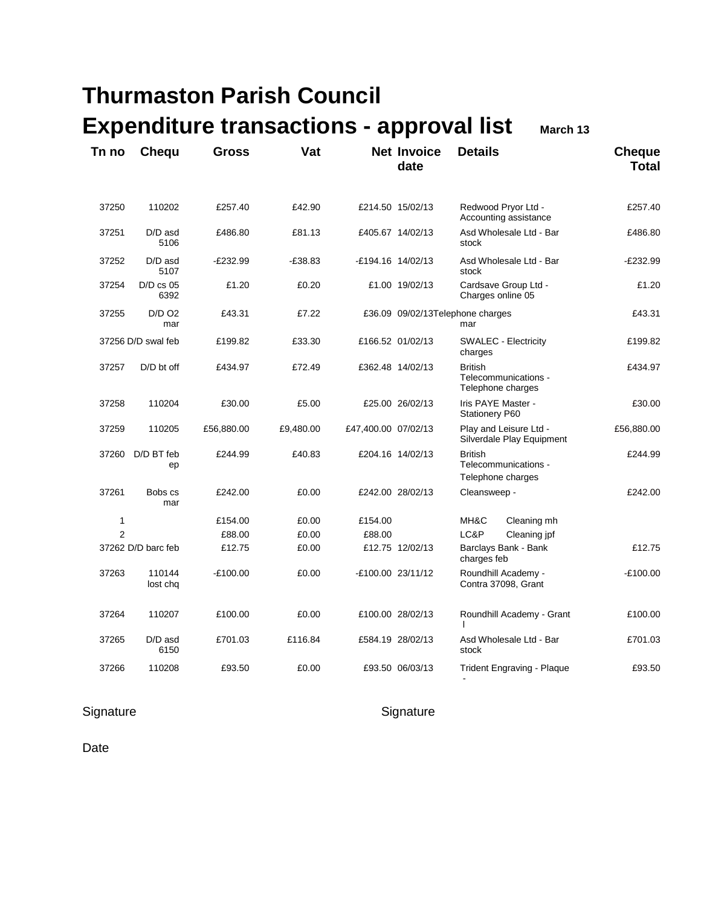| Tn no          | <b>Chequ</b>        | <b>Gross</b> | Vat       |                     | <b>Net Invoice</b><br>date | <b>Details</b>                                              | <b>Cheque</b><br><b>Total</b> |
|----------------|---------------------|--------------|-----------|---------------------|----------------------------|-------------------------------------------------------------|-------------------------------|
| 37250          | 110202              | £257.40      | £42.90    |                     | £214.50 15/02/13           | Redwood Pryor Ltd -<br>Accounting assistance                | £257.40                       |
| 37251          | D/D asd<br>5106     | £486.80      | £81.13    |                     | £405.67 14/02/13           | Asd Wholesale Ltd - Bar<br>stock                            | £486.80                       |
| 37252          | $D/D$ asd<br>5107   | $-E232.99$   | $-£38.83$ |                     | -£194.16 14/02/13          | Asd Wholesale Ltd - Bar<br>stock                            | $-E232.99$                    |
| 37254          | $D/D$ cs 05<br>6392 | £1.20        | £0.20     |                     | £1.00 19/02/13             | Cardsave Group Ltd -<br>Charges online 05                   | £1.20                         |
| 37255          | $D/D$ $O2$<br>mar   | £43.31       | £7.22     |                     |                            | £36.09 09/02/13Telephone charges<br>mar                     | £43.31                        |
|                | 37256 D/D swal feb  | £199.82      | £33.30    |                     | £166.52 01/02/13           | <b>SWALEC - Electricity</b><br>charges                      | £199.82                       |
| 37257          | D/D bt off          | £434.97      | £72.49    |                     | £362.48 14/02/13           | <b>British</b><br>Telecommunications -<br>Telephone charges | £434.97                       |
| 37258          | 110204              | £30.00       | £5.00     |                     | £25.00 26/02/13            | Iris PAYE Master -<br><b>Stationery P60</b>                 | £30.00                        |
| 37259          | 110205              | £56,880.00   | £9,480.00 | £47,400.00 07/02/13 |                            | Play and Leisure Ltd -<br>Silverdale Play Equipment         | £56,880.00                    |
| 37260          | D/D BT feb<br>ep    | £244.99      | £40.83    |                     | £204.16 14/02/13           | <b>British</b><br>Telecommunications -<br>Telephone charges | £244.99                       |
| 37261          | Bobs cs<br>mar      | £242.00      | £0.00     |                     | £242.00 28/02/13           | Cleansweep -                                                | £242.00                       |
| 1              |                     | £154.00      | £0.00     | £154.00             |                            | MH&C<br>Cleaning mh                                         |                               |
| $\overline{2}$ |                     | £88.00       | £0.00     | £88.00              |                            | LC&P<br>Cleaning jpf                                        |                               |
|                | 37262 D/D barc feb  | £12.75       | £0.00     |                     | £12.75 12/02/13            | Barclays Bank - Bank<br>charges feb                         | £12.75                        |
| 37263          | 110144<br>lost chq  | $-£100.00$   | £0.00     |                     | -£100.00 23/11/12          | Roundhill Academy -<br>Contra 37098, Grant                  | $-£100.00$                    |
| 37264          | 110207              | £100.00      | £0.00     |                     | £100.00 28/02/13           | Roundhill Academy - Grant                                   | £100.00                       |
| 37265          | D/D asd<br>6150     | £701.03      | £116.84   |                     | £584.19 28/02/13           | Asd Wholesale Ltd - Bar<br>stock                            | £701.03                       |
| 37266          | 110208              | £93.50       | £0.00     |                     | £93.50 06/03/13            | Trident Engraving - Plaque                                  | £93.50                        |

#### Signature Signature Signature Signature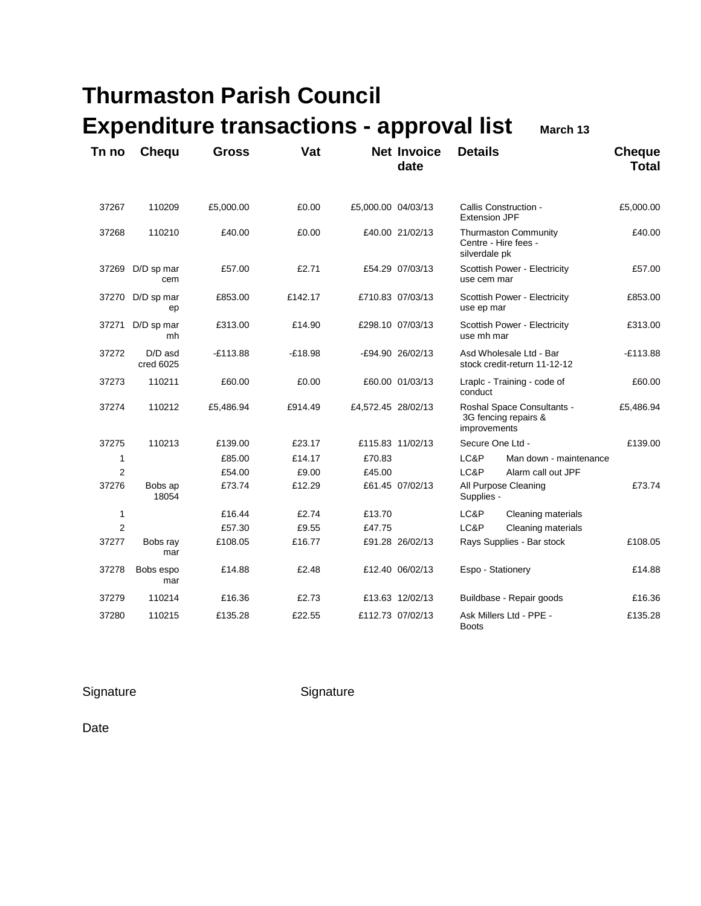| Tn no          | <b>Chequ</b>           | <b>Gross</b> | Vat       |                    | <b>Net Invoice</b><br>date | <b>Details</b>                                                     |                                                     | <b>Cheque</b><br><b>Total</b> |
|----------------|------------------------|--------------|-----------|--------------------|----------------------------|--------------------------------------------------------------------|-----------------------------------------------------|-------------------------------|
| 37267          | 110209                 | £5,000.00    | £0.00     | £5,000.00 04/03/13 |                            | <b>Extension JPF</b>                                               | Callis Construction -                               | £5,000.00                     |
| 37268          | 110210                 | £40.00       | £0.00     |                    | £40.00 21/02/13            | silverdale pk                                                      | <b>Thurmaston Community</b><br>Centre - Hire fees - | £40.00                        |
| 37269          | D/D sp mar<br>cem      | £57.00       | £2.71     |                    | £54.29 07/03/13            | use cem mar                                                        | Scottish Power - Electricity                        | £57.00                        |
|                | 37270 D/D sp mar<br>ep | £853.00      | £142.17   |                    | £710.83 07/03/13           | use ep mar                                                         | Scottish Power - Electricity                        | £853.00                       |
| 37271          | D/D sp mar<br>mh       | £313.00      | £14.90    |                    | £298.10 07/03/13           |                                                                    | Scottish Power - Electricity<br>use mh mar          |                               |
| 37272          | D/D asd<br>cred 6025   | $-£113.88$   | $-£18.98$ |                    | -£94.90 26/02/13           | Asd Wholesale Ltd - Bar<br>stock credit-return 11-12-12            |                                                     | $-E113.88$                    |
| 37273          | 110211                 | £60.00       | £0.00     |                    | £60.00 01/03/13            | Lraplc - Training - code of<br>conduct                             |                                                     | £60.00                        |
| 37274          | 110212                 | £5,486.94    | £914.49   | £4,572.45 28/02/13 |                            | Roshal Space Consultants -<br>3G fencing repairs &<br>improvements |                                                     | £5,486.94                     |
| 37275          | 110213                 | £139.00      | £23.17    |                    | £115.83 11/02/13           | Secure One Ltd -                                                   |                                                     | £139.00                       |
| 1              |                        | £85.00       | £14.17    | £70.83             |                            | LC&P                                                               | Man down - maintenance                              |                               |
| $\overline{2}$ |                        | £54.00       | £9.00     | £45.00             |                            | LC&P                                                               | Alarm call out JPF                                  |                               |
| 37276          | Bobs ap<br>18054       | £73.74       | £12.29    |                    | £61.45 07/02/13            | Supplies -                                                         | All Purpose Cleaning                                | £73.74                        |
| $\mathbf{1}$   |                        | £16.44       | £2.74     | £13.70             |                            | LC&P                                                               | Cleaning materials                                  |                               |
| $\overline{2}$ |                        | £57.30       | £9.55     | £47.75             |                            | LC&P                                                               | Cleaning materials                                  |                               |
| 37277          | Bobs ray<br>mar        | £108.05      | £16.77    |                    | £91.28 26/02/13            |                                                                    | Rays Supplies - Bar stock                           | £108.05                       |
| 37278          | Bobs espo<br>mar       | £14.88       | £2.48     |                    | £12.40 06/02/13            | Espo - Stationery                                                  |                                                     | £14.88                        |
| 37279          | 110214                 | £16.36       | £2.73     |                    | £13.63 12/02/13            |                                                                    | Buildbase - Repair goods                            | £16.36                        |
| 37280          | 110215                 | £135.28      | £22.55    |                    | £112.73 07/02/13           | <b>Boots</b>                                                       | Ask Millers Ltd - PPE -                             | £135.28                       |

Signature Signature Signature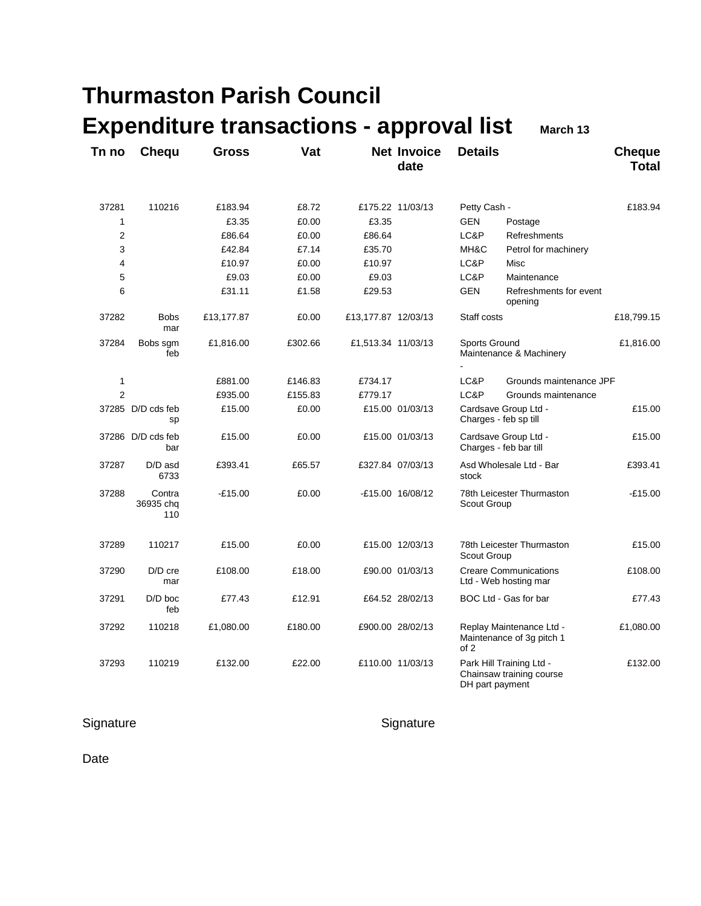| Tn no          | Chequ                      | <b>Gross</b> | Vat     |                     | <b>Net Invoice</b><br>date | <b>Details</b>                           |                                                       | <b>Cheque</b><br><b>Total</b> |
|----------------|----------------------------|--------------|---------|---------------------|----------------------------|------------------------------------------|-------------------------------------------------------|-------------------------------|
| 37281          | 110216                     | £183.94      | £8.72   |                     | £175.22 11/03/13           | Petty Cash -                             |                                                       | £183.94                       |
| 1              |                            | £3.35        | £0.00   | £3.35               |                            | <b>GEN</b>                               | Postage                                               |                               |
| 2              |                            | £86.64       | £0.00   | £86.64              |                            | LC&P                                     | Refreshments                                          |                               |
| 3              |                            | £42.84       | £7.14   | £35.70              |                            | MH&C                                     | Petrol for machinery                                  |                               |
| 4              |                            | £10.97       | £0.00   | £10.97              |                            | LC&P                                     | Misc                                                  |                               |
| 5              |                            | £9.03        | £0.00   | £9.03               |                            | LC&P                                     | Maintenance                                           |                               |
| 6              |                            | £31.11       | £1.58   | £29.53              |                            | <b>GEN</b>                               | Refreshments for event<br>opening                     |                               |
| 37282          | <b>Bobs</b><br>mar         | £13,177.87   | £0.00   | £13,177.87 12/03/13 |                            | Staff costs                              |                                                       | £18,799.15                    |
| 37284          | Bobs sgm<br>feb            | £1,816.00    | £302.66 | £1,513.34 11/03/13  |                            | Sports Ground                            | Maintenance & Machinery                               | £1,816.00                     |
| 1              |                            | £881.00      | £146.83 | £734.17             |                            | LC&P                                     | Grounds maintenance JPF                               |                               |
| $\overline{2}$ |                            | £935.00      | £155.83 | £779.17             |                            | LC&P                                     | Grounds maintenance                                   |                               |
|                | 37285 D/D cds feb<br>sp    | £15.00       | £0.00   |                     | £15.00 01/03/13            |                                          | Cardsave Group Ltd -<br>Charges - feb sp till         | £15.00                        |
|                | 37286 D/D cds feb<br>bar   | £15.00       | £0.00   |                     | £15.00 01/03/13            |                                          | Cardsave Group Ltd -<br>Charges - feb bar till        | £15.00                        |
| 37287          | D/D asd<br>6733            | £393.41      | £65.57  |                     | £327.84 07/03/13           | stock                                    | Asd Wholesale Ltd - Bar                               | £393.41                       |
| 37288          | Contra<br>36935 chq<br>110 | $-£15.00$    | £0.00   |                     | -£15.00 16/08/12           | 78th Leicester Thurmaston<br>Scout Group |                                                       | $-£15.00$                     |
| 37289          | 110217                     | £15.00       | £0.00   |                     | £15.00 12/03/13            | 78th Leicester Thurmaston<br>Scout Group |                                                       | £15.00                        |
| 37290          | D/D cre<br>mar             | £108.00      | £18.00  |                     | £90.00 01/03/13            |                                          | <b>Creare Communications</b><br>Ltd - Web hosting mar | £108.00                       |
| 37291          | $D/D$ boc<br>feb           | £77.43       | £12.91  |                     | £64.52 28/02/13            |                                          | BOC Ltd - Gas for bar                                 | £77.43                        |
| 37292          | 110218                     | £1,080.00    | £180.00 |                     | £900.00 28/02/13           | of 2                                     | Replay Maintenance Ltd -<br>Maintenance of 3g pitch 1 | £1,080.00                     |
| 37293          | 110219                     | £132.00      | £22.00  |                     | £110.00 11/03/13           | DH part payment                          | Park Hill Training Ltd -<br>Chainsaw training course  | £132.00                       |

Signature Signature Signature